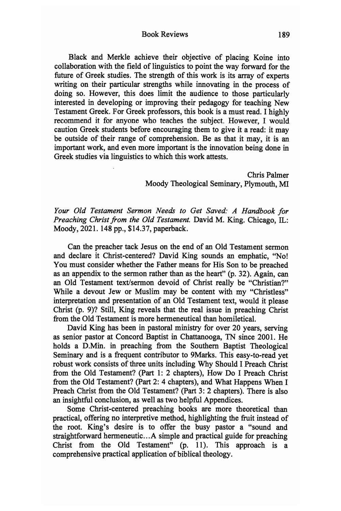Book Reviews 189

Black and Merkle achieve their objective of placing Koine into collaboration with the field of linguistics to point the way forward for the future of Greek studies. The strength of this work is its array of experts writing on their particular strengths while innovating in the process of doing so. However, this does limit the audience to those particularly interested in developing or improving their pedagogy for teaching New Testament Greek. For Greek professors, this book is a must read. I highly recommend it for anyone who teaches the subject. However, I would caution Greek students before encouraging them to give it a read: it may be outside of their range of comprehension. Be as that it may, it is an important work, and even more important is the innovation being done in Greek studies via linguistics to which this work attests.

> Chris Palmer Moody Theological Seminary, Plymouth, MI

*Your Old Testament Sermon Needs to Get Saved: A Handbook for Preaching Christfrom the Old Testament.* David M. King. Chicago, IL: Moody, 2021. 148 pp., \$14.37, paperback.

Can the preacher tack Jesus on the end of an Old Testament sermon and declare it Christ-centered? David King sounds an emphatic, "No! You must consider whether the Father means for His Son to be preached as an appendix to the sermon rather than as the heart" (p. 32). Again, can an Old Testament text/sermon devoid of Christ really be "Christian?' While a devout Jew or Muslim may be content with my "Christless" interpretation and presentation of an Old Testament text, would it please Christ (p. 9)? Still, King reveals that the real issue in preaching Christ from the Old Testament is more hermeneutical than homiletical.

David King has been in pastoral ministry for over 20 years, serving as senior pastor at Concord Baptist in Chattanooga, TN since 2001. He holds a D.Min. in preaching from the Southern Baptist Theological Seminary and is a frequent contributor to 9Marks. This easy-to-read yet robust work consists of three units including Why Should I Preach Christ from the Old Testament? (Part 1: 2 chapters). How Do I Preach Christ from the Old Testament? (Part 2: 4 chapters), and What Happens When I Preach Christ from the Old Testament? (Part 3: 2 chapters). There is also an insightful conclusion, as well as two helpful Appendices.

Some Christ-centered preaching books are more theoretical than practical, offering no interpretive method, highlighting the fruit instead of the root. King's desire is to offer the busy pastor a "sound and straightforward hermeneutic...A simple and practical guide for preaching Christ from the Old Testament" (p. 11). This approach is a comprehensive practical application of biblical theology.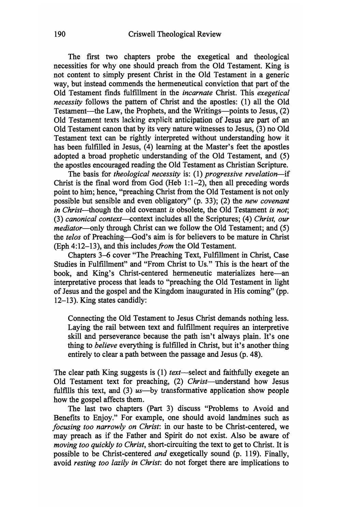The first two chapters probe the exegetical and theological necessities for why one should preach from the Old Testament. King is not content to simply present Christ in the Old Testament in a generic way, but instead commends the hermeneutical conviction that part of the Old Testament finds fulfillment in the *incarnate* Christ. This *exegetical necessity* follows the pattern of Christ and the apostles: (1) all the Old Testament—the Law, the Prophets, and the Writings—points to Jesus, (2) Old Testament texts lacking explicit anticipation of Jesus are part of an Old Testament canon that by its very nature witnesses to Jesus, (3) no Old Testament text can be rightly interpreted without understanding how it has been fulfilled in Jesus, (4) learning at the Master's feet the apostles adopted a broad prophetic understanding of the Old Testament, and (5) the apostles encouraged reading the Old Testament as Christian Scripture.

The basis for *theological necessity* is: (1) *progressive revelation*—if Christ is the final word from God (Heb  $1:1-2$ ), then all preceding words point to him; hence, "preaching Christ from the Old Testament is not only possible but sensible and even obligatory" (p. 33); (2) the *new covenant in Christ*—though the old covenant *is* obsolete, the Old Testament *is not*; (3) *canonical context*—context includes all the Scriptures; (4) *Christ, our mediator*—only through Christ can we follow the Old Testament; and (5) the *telos* of Preaching—God's aim is for believers to be mature in Christ (Eph 4:12-13), and this includes*from* the Old Testament.

Chapters 3-6 cover "The Preaching Text, Fulfillment in Christ, Case Studies in Fulfillment" and "From Christ to Us." This is the heart of the book, and King's Christ-centered hermeneutic materializes here—an interpretative process that leads to "preaching the Old Testament in light of Jesus and the gospel and the Kingdom inaugurated in His coming" (pp. 12-13). King states candidly:

Connecting the Old Testament to Jesus Christ demands nothing less. Laying the rail between text and fulfillment requires an interpretive skill and perseverance because the path isn't always plain. It's one thing to *believe* everything is fulfilled in Christ, but it's another thing entirely to clear a path between the passage and Jesus (p. 48).

The clear path King suggests is (1) *text*—select and faithfully exegete an Old Testament text for preaching, (2) *Christ*—^understand how Jesus fulfills this text, and (3) *us*—by transformative application show people how the gospel affects them.

The last two chapters (Part 3) discuss "Problems to Avoid and Benefits to Enjoy." For example, one should avoid landmines such as *focusing too narrowly on Christ*: in our haste to be Christ-centered, we may preach as if the Father and Spirit do not exist. Also be aware of *moving too quickly to Christ,* short-circuiting the text to get to Christ. It is possible to be Christ-centered *and* exegetically sound (p. 119). Finally, avoid *resting too lazily in Christ',* do not forget there are implications to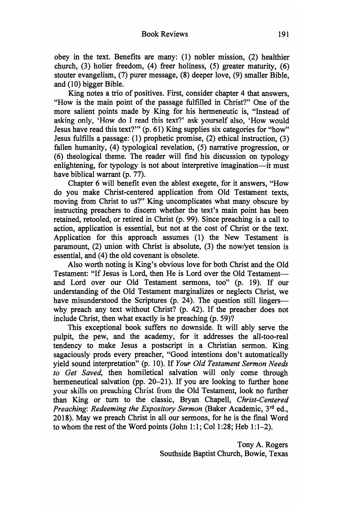obey in the text. Benefits are many: (1) nobler mission, (2) healthier church, (3) holier freedom, (4) freer holiness, (5) greater maturity, (6) stouter evangelism, (7) purer message, (8) deeper love, (9) smaller Bible, and (10) bigger Bible.

King notes a trio of positives. First, consider chapter 4 that answers, 'How is the main point of the passage fulfilled in Christ?" One of the more salient points made by King for his hermeneutic is, "Instead of asking only, 'How do I read this text?' ask yourself also, 'How would Jesus have read this text?'" (p. 61) King supplies six categories for "how" Jesus fulfills a passage: (1) prophetic promise, (2) ethical instruction, (3) fallen humanity, (4) typological revelation, (5) narrative progression, or (6) theological theme. The reader will find his discussion on typology enlightening, for typology is not about interpretive imagination—it must have biblical warrant (p. 77).

Chapter 6 will benefit even the ablest exegete, for it answers, "How do you make Christ-centered application from Old Testament texts, moving from Christ to us?" King uncomplicates what many obscure by instructing preachers to discern whether the text's main point has been retained, retooled, or retired in Christ (p. 99). Since preaching is a call to action, application is essential, but not at the cost of Christ or the text. Application for this approach assumes (1) the New Testament is paramount,  $(2)$  union with Christ is absolute,  $(3)$  the now/yet tension is essential, and (4) the old covenant is obsolete.

Also worth noting is King's obvious love for both Christ and the Old Testament: "If Jesus is Lord, then He is Lord over the Old Testament and Lord over our Old Testament sermons, too" (p. 19). If our understanding of the Old Testament marginalizes or neglects Christ, we have misunderstood the Scriptures (p. 24). The question still lingers why preach any text without Christ? (p. 42). If the preacher does not include Christ, then what exactly is he preaching (p. 59)?

This exceptional book suffers no downside. It will ably serve the pulpit, the pew, and the academy, for it addresses the all-too-real tendency to make Jesus a postscript in a Christian sermon. King sagaciously prods every preacher, "Good intentions don't automatically yield sound interpretation" (p. 10). If *Your Old Testament Sermon Needs to Get Saved,* then homiletical salvation will only come through hermeneutical salvation (pp. 20-21). If you are looking to further hone your skills on preaching Christ from the Old Testament, look no further than King or turn to the classic, Bryan Chapell, *Christ-Centered Preaching'. Redeeming the Expository Sermon* (Baker Academic, 3"^ ed., 2018). May we preach Christ in all our sermons, for he is the final Word to whom the rest of the Word points (John 1:1; Col 1:28; Heb 1:1-2).

> Tony A. Rogers Southside Baptist Church, Bowie, Texas